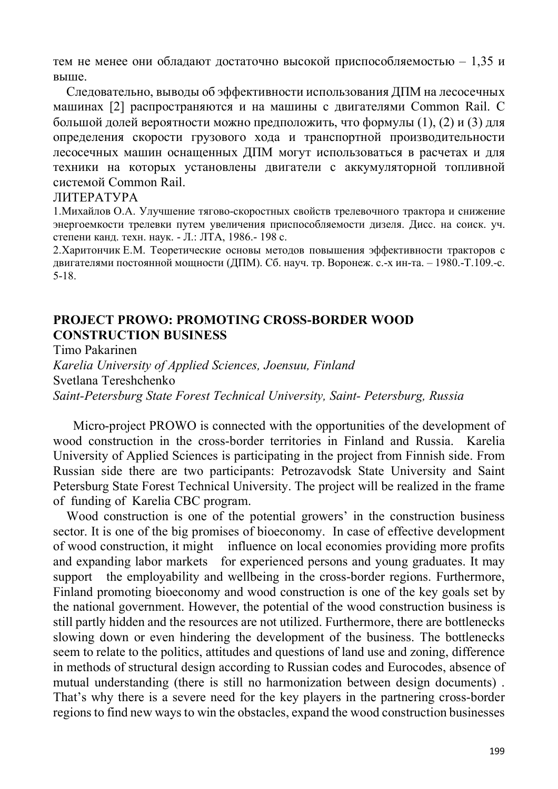тем не менее они обладают достаточно высокой приспособляемостью – 1,35 и выше.

Следовательно, выводы об эффективности использования ДПМ на лесосечных машинах [2] распространяются и на машины с двигателями Common Rail. С большой долей вероятности можно предположить, что формулы (1), (2) и (3) для определения скорости грузового хода и транспортной производительности лесосечных машин оснащенных ДПМ могут использоваться в расчетах и для техники на которых установлены двигатели с аккумуляторной топливной системой Common Rail.

## ЛИТЕРАТУРА

1.Михайлов О.А. Улучшение тягово-скоростных свойств трелевочного трактора и снижение энергоемкости трелевки путем увеличения приспособляемости дизеля. Дисс. на соиск. уч. степени канд. техн. наук. - Л.: ЛТА, 1986.- 198 с.

2.Харитончик Е.М. Теоретические основы методов повышения эффективности тракторов с двигателями постоянной мощности (ДПМ). Сб. науч. тр. Воронеж. с.-х ин-та. – 1980.-Т.109.-с. 5-18.

## **PROJECT PROWO: PROMOTING CROSS-BORDER WOOD CONSTRUCTION BUSINESS**

Timo Pakarinen *Karelia University of Applied Sciences, Joensuu, Finland* Svetlana Tereshchenko *Saint-Petersburg State Forest Technical University, Saint- Petersburg, Russia*

 Micro-project PROWO is connected with the opportunities of the development of wood construction in the cross-border territories in Finland and Russia. Karelia University of Applied Sciences is participating in the project from Finnish side. From Russian side there are two participants: Petrozavodsk State University and Saint Petersburg State Forest Technical University. The project will be realized in the frame of funding of Karelia CBC program.

Wood construction is one of the potential growers' in the construction business sector. It is one of the big promises of bioeconomy. In case of effective development of wood construction, it might influence on local economies providing more profits and expanding labor markets for experienced persons and young graduates. It may support the employability and wellbeing in the cross-border regions. Furthermore, Finland promoting bioeconomy and wood construction is one of the key goals set by the national government. However, the potential of the wood construction business is still partly hidden and the resources are not utilized. Furthermore, there are bottlenecks slowing down or even hindering the development of the business. The bottlenecks seem to relate to the politics, attitudes and questions of land use and zoning, difference in methods of structural design according to Russian codes and Eurocodes, absence of mutual understanding (there is still no harmonization between design documents) . That's why there is a severe need for the key players in the partnering cross-border regions to find new ways to win the obstacles, expand the wood construction businesses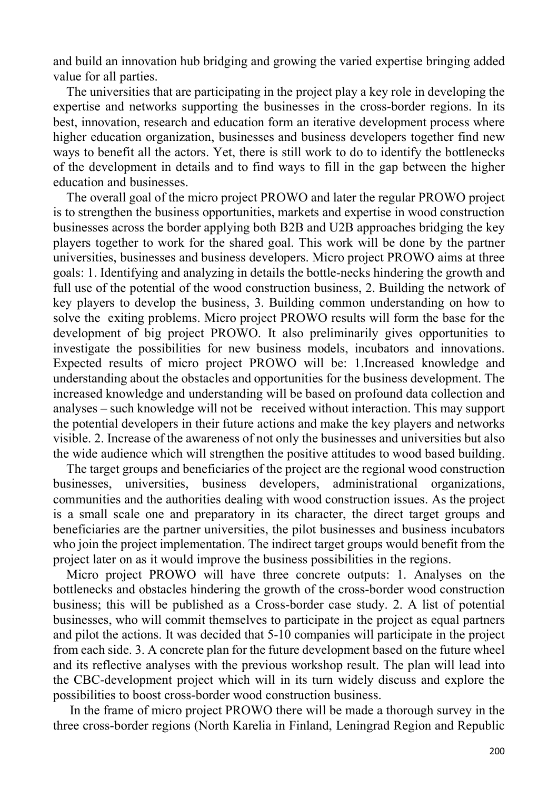and build an innovation hub bridging and growing the varied expertise bringing added value for all parties.

The universities that are participating in the project play a key role in developing the expertise and networks supporting the businesses in the cross-border regions. In its best, innovation, research and education form an iterative development process where higher education organization, businesses and business developers together find new ways to benefit all the actors. Yet, there is still work to do to identify the bottlenecks of the development in details and to find ways to fill in the gap between the higher education and businesses.

The overall goal of the micro project PROWO and later the regular PROWO project is to strengthen the business opportunities, markets and expertise in wood construction businesses across the border applying both B2B and U2B approaches bridging the key players together to work for the shared goal. This work will be done by the partner universities, businesses and business developers. Micro project PROWO aims at three goals: 1. Identifying and analyzing in details the bottle-necks hindering the growth and full use of the potential of the wood construction business, 2. Building the network of key players to develop the business, 3. Building common understanding on how to solve the exiting problems. Micro project PROWO results will form the base for the development of big project PROWO. It also preliminarily gives opportunities to investigate the possibilities for new business models, incubators and innovations. Expected results of micro project PROWO will be: 1.Increased knowledge and understanding about the obstacles and opportunities for the business development. The increased knowledge and understanding will be based on profound data collection and analyses – such knowledge will not be received without interaction. This may support the potential developers in their future actions and make the key players and networks visible. 2. Increase of the awareness of not only the businesses and universities but also the wide audience which will strengthen the positive attitudes to wood based building.

The target groups and beneficiaries of the project are the regional wood construction businesses, universities, business developers, administrational organizations, communities and the authorities dealing with wood construction issues. As the project is a small scale one and preparatory in its character, the direct target groups and beneficiaries are the partner universities, the pilot businesses and business incubators who join the project implementation. The indirect target groups would benefit from the project later on as it would improve the business possibilities in the regions.

Micro project PROWO will have three concrete outputs: 1. Analyses on the bottlenecks and obstacles hindering the growth of the cross-border wood construction business; this will be published as a Cross-border case study. 2. A list of potential businesses, who will commit themselves to participate in the project as equal partners and pilot the actions. It was decided that 5-10 companies will participate in the project from each side. 3. A concrete plan for the future development based on the future wheel and its reflective analyses with the previous workshop result. The plan will lead into the CBC-development project which will in its turn widely discuss and explore the possibilities to boost cross-border wood construction business.

In the frame of micro project PROWO there will be made a thorough survey in the three cross-border regions (North Karelia in Finland, Leningrad Region and Republic